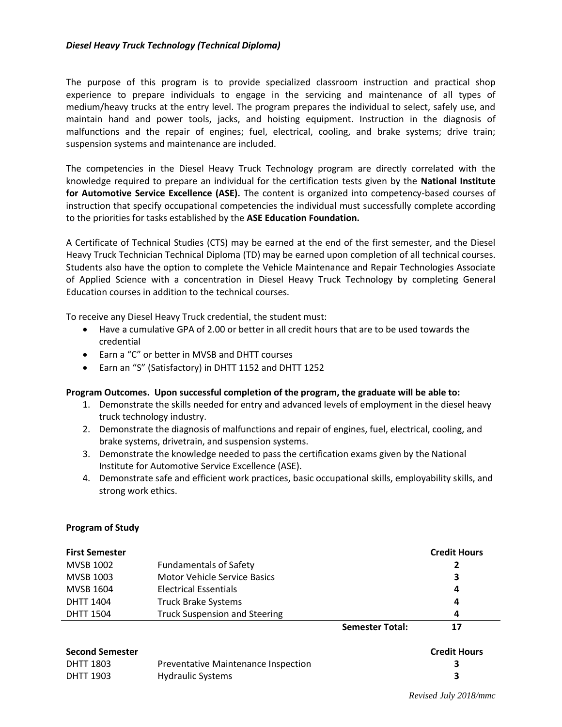### *Diesel Heavy Truck Technology (Technical Diploma)*

The purpose of this program is to provide specialized classroom instruction and practical shop experience to prepare individuals to engage in the servicing and maintenance of all types of medium/heavy trucks at the entry level. The program prepares the individual to select, safely use, and maintain hand and power tools, jacks, and hoisting equipment. Instruction in the diagnosis of malfunctions and the repair of engines; fuel, electrical, cooling, and brake systems; drive train; suspension systems and maintenance are included.

The competencies in the Diesel Heavy Truck Technology program are directly correlated with the knowledge required to prepare an individual for the certification tests given by the **National Institute for Automotive Service Excellence (ASE).** The content is organized into competency-based courses of instruction that specify occupational competencies the individual must successfully complete according to the priorities for tasks established by the **ASE Education Foundation.**

A Certificate of Technical Studies (CTS) may be earned at the end of the first semester, and the Diesel Heavy Truck Technician Technical Diploma (TD) may be earned upon completion of all technical courses. Students also have the option to complete the Vehicle Maintenance and Repair Technologies Associate of Applied Science with a concentration in Diesel Heavy Truck Technology by completing General Education courses in addition to the technical courses.

To receive any Diesel Heavy Truck credential, the student must:

- Have a cumulative GPA of 2.00 or better in all credit hours that are to be used towards the credential
- Earn a "C" or better in MVSB and DHTT courses
- Earn an "S" (Satisfactory) in DHTT 1152 and DHTT 1252

## **Program Outcomes. Upon successful completion of the program, the graduate will be able to:**

- 1. Demonstrate the skills needed for entry and advanced levels of employment in the diesel heavy truck technology industry.
- 2. Demonstrate the diagnosis of malfunctions and repair of engines, fuel, electrical, cooling, and brake systems, drivetrain, and suspension systems.
- 3. Demonstrate the knowledge needed to pass the certification exams given by the National Institute for Automotive Service Excellence (ASE).
- 4. Demonstrate safe and efficient work practices, basic occupational skills, employability skills, and strong work ethics.

#### **Program of Study**

| <b>First Semester</b> |                                      |                        | <b>Credit Hours</b> |
|-----------------------|--------------------------------------|------------------------|---------------------|
| MVSB 1002             | <b>Fundamentals of Safety</b>        |                        | 2                   |
| <b>MVSB 1003</b>      | Motor Vehicle Service Basics         |                        | 3                   |
| MVSB 1604             | Electrical Essentials                |                        | 4                   |
| <b>DHTT 1404</b>      | <b>Truck Brake Systems</b>           |                        | 4                   |
| <b>DHTT 1504</b>      | <b>Truck Suspension and Steering</b> |                        | 4                   |
|                       |                                      | <b>Semester Total:</b> | 17                  |

#### **Second Semester Credit Hours**

| DHTT 1803 | Preventative Maintenance Inspection |  |
|-----------|-------------------------------------|--|
| DHTT 1903 | Hydraulic Systems                   |  |